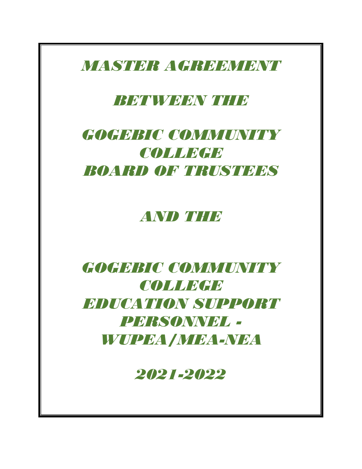## *MASTER AGREEMENT*

### *BETWEEN THE*

# *GOGEBIC COMMUNITY COLLEGE BOARD OF TRUSTEES*

## *AND THE*

# *GOGEBIC COMMUNITY COLLEGE EDUCATION SUPPORT PERSONNEL - WUPEA/MEA-NEA*

*2021-2022*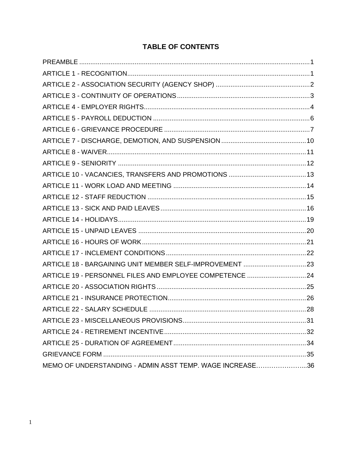### **TABLE OF CONTENTS**

| ARTICLE 19 - PERSONNEL FILES AND EMPLOYEE COMPETENCE 24  |  |
|----------------------------------------------------------|--|
|                                                          |  |
|                                                          |  |
|                                                          |  |
|                                                          |  |
|                                                          |  |
|                                                          |  |
|                                                          |  |
| MEMO OF UNDERSTANDING - ADMIN ASST TEMP. WAGE INCREASE36 |  |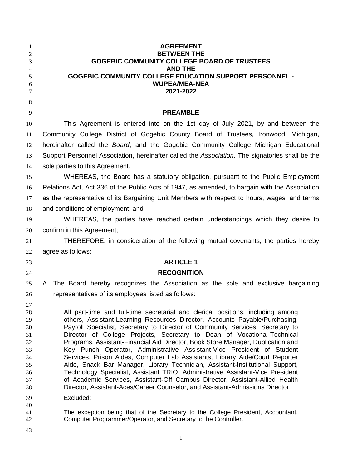| 1<br>$\overline{c}$ | <b>AGREEMENT</b><br><b>BETWEEN THE</b>                                                                                                                         |
|---------------------|----------------------------------------------------------------------------------------------------------------------------------------------------------------|
| 3                   | <b>GOGEBIC COMMUNITY COLLEGE BOARD OF TRUSTEES</b>                                                                                                             |
| 4                   | <b>AND THE</b>                                                                                                                                                 |
| 5<br>6              | <b>GOGEBIC COMMUNITY COLLEGE EDUCATION SUPPORT PERSONNEL -</b><br><b>WUPEA/MEA-NEA</b>                                                                         |
| 7                   | 2021-2022                                                                                                                                                      |
| $8\phantom{.0}$     |                                                                                                                                                                |
| 9                   | <b>PREAMBLE</b>                                                                                                                                                |
| 10                  | This Agreement is entered into on the 1st day of July 2021, by and between the                                                                                 |
| 11                  | Community College District of Gogebic County Board of Trustees, Ironwood, Michigan,                                                                            |
| 12                  | hereinafter called the Board, and the Gogebic Community College Michigan Educational                                                                           |
| 13                  | Support Personnel Association, hereinafter called the Association. The signatories shall be the                                                                |
| 14                  | sole parties to this Agreement.                                                                                                                                |
| 15                  | WHEREAS, the Board has a statutory obligation, pursuant to the Public Employment                                                                               |
| 16                  | Relations Act, Act 336 of the Public Acts of 1947, as amended, to bargain with the Association                                                                 |
| 17                  | as the representative of its Bargaining Unit Members with respect to hours, wages, and terms                                                                   |
| 18                  | and conditions of employment; and                                                                                                                              |
| 19                  | WHEREAS, the parties have reached certain understandings which they desire to                                                                                  |
| 20                  | confirm in this Agreement;                                                                                                                                     |
| 21                  | THEREFORE, in consideration of the following mutual covenants, the parties hereby                                                                              |
| 22                  | agree as follows:                                                                                                                                              |
| 23                  | <b>ARTICLE 1</b>                                                                                                                                               |
| 24                  | <b>RECOGNITION</b>                                                                                                                                             |
| 25                  | A. The Board hereby recognizes the Association as the sole and exclusive bargaining                                                                            |
| 26                  | representatives of its employees listed as follows:                                                                                                            |
| 27                  |                                                                                                                                                                |
| 28<br>29            | All part-time and full-time secretarial and clerical positions, including among<br>others, Assistant-Learning Resources Director, Accounts Payable/Purchasing, |
| 30                  | Payroll Specialist, Secretary to Director of Community Services, Secretary to                                                                                  |
| 31                  | Director of College Projects, Secretary to Dean of Vocational-Technical                                                                                        |
| 32                  | Programs, Assistant-Financial Aid Director, Book Store Manager, Duplication and                                                                                |
| 33                  | Key Punch Operator, Administrative Assistant-Vice President of Student                                                                                         |
| 34<br>35            | Services, Prison Aides, Computer Lab Assistants, Library Aide/Court Reporter<br>Aide, Snack Bar Manager, Library Technician, Assistant-Institutional Support,  |
| 36                  | Technology Specialist, Assistant TRIO, Administrative Assistant-Vice President                                                                                 |
| 37                  | of Academic Services, Assistant-Off Campus Director, Assistant-Allied Health                                                                                   |
| 38                  | Director, Assistant-Aces/Career Counselor, and Assistant-Admissions Director.                                                                                  |
| 39                  | Excluded:                                                                                                                                                      |
| 40<br>41            | The exception being that of the Secretary to the College President, Accountant,                                                                                |
| 42                  | Computer Programmer/Operator, and Secretary to the Controller.                                                                                                 |
| 43                  |                                                                                                                                                                |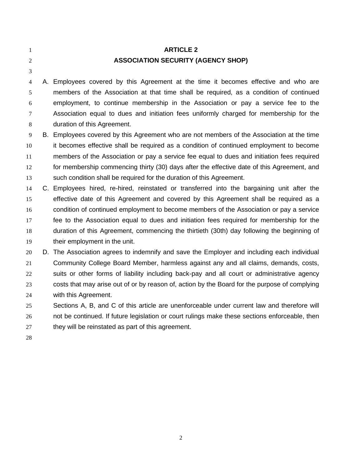### **ARTICLE 2 ASSOCIATION SECURITY (AGENCY SHOP)**

 A. Employees covered by this Agreement at the time it becomes effective and who are members of the Association at that time shall be required, as a condition of continued employment, to continue membership in the Association or pay a service fee to the Association equal to dues and initiation fees uniformly charged for membership for the duration of this Agreement.

 B. Employees covered by this Agreement who are not members of the Association at the time it becomes effective shall be required as a condition of continued employment to become members of the Association or pay a service fee equal to dues and initiation fees required for membership commencing thirty (30) days after the effective date of this Agreement, and such condition shall be required for the duration of this Agreement.

 C. Employees hired, re-hired, reinstated or transferred into the bargaining unit after the effective date of this Agreement and covered by this Agreement shall be required as a condition of continued employment to become members of the Association or pay a service fee to the Association equal to dues and initiation fees required for membership for the duration of this Agreement, commencing the thirtieth (30th) day following the beginning of their employment in the unit.

 D. The Association agrees to indemnify and save the Employer and including each individual Community College Board Member, harmless against any and all claims, demands, costs, suits or other forms of liability including back-pay and all court or administrative agency costs that may arise out of or by reason of, action by the Board for the purpose of complying with this Agreement.

 Sections A, B, and C of this article are unenforceable under current law and therefore will not be continued. If future legislation or court rulings make these sections enforceable, then 27 they will be reinstated as part of this agreement.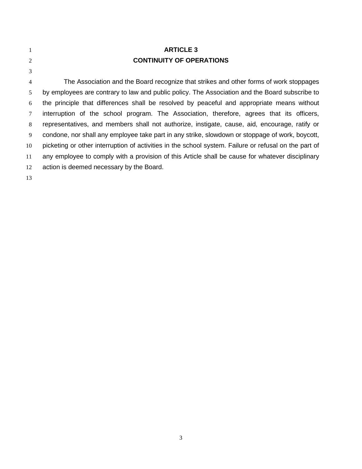| $\mathbf{1}$   | <b>ARTICLE 3</b>                                                                                      |
|----------------|-------------------------------------------------------------------------------------------------------|
| 2              | <b>CONTINUITY OF OPERATIONS</b>                                                                       |
| 3              |                                                                                                       |
| $\overline{4}$ | The Association and the Board recognize that strikes and other forms of work stoppages                |
| 5              | by employees are contrary to law and public policy. The Association and the Board subscribe to        |
| 6              | the principle that differences shall be resolved by peaceful and appropriate means without            |
| $\tau$         | interruption of the school program. The Association, therefore, agrees that its officers,             |
| 8              | representatives, and members shall not authorize, instigate, cause, aid, encourage, ratify or         |
| 9              | condone, nor shall any employee take part in any strike, slowdown or stoppage of work, boycott,       |
| 10             | picketing or other interruption of activities in the school system. Failure or refusal on the part of |
| 11             | any employee to comply with a provision of this Article shall be cause for whatever disciplinary      |
| 12             | action is deemed necessary by the Board.                                                              |
| 13             |                                                                                                       |
|                |                                                                                                       |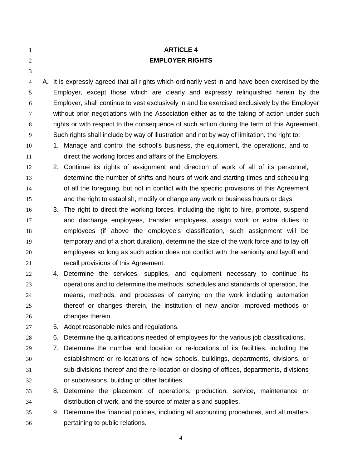| $\mathbf{1}$     |    | <b>ARTICLE 4</b>                                                                                  |
|------------------|----|---------------------------------------------------------------------------------------------------|
| $\overline{2}$   |    | <b>EMPLOYER RIGHTS</b>                                                                            |
| 3                |    |                                                                                                   |
| $\overline{4}$   |    | A. It is expressly agreed that all rights which ordinarily vest in and have been exercised by the |
| 5                |    | Employer, except those which are clearly and expressly relinguished herein by the                 |
| $\boldsymbol{6}$ |    | Employer, shall continue to vest exclusively in and be exercised exclusively by the Employer      |
| 7                |    | without prior negotiations with the Association either as to the taking of action under such      |
| $\,8$            |    | rights or with respect to the consequence of such action during the term of this Agreement.       |
| 9                |    | Such rights shall include by way of illustration and not by way of limitation, the right to:      |
| 10               |    | 1. Manage and control the school's business, the equipment, the operations, and to                |
| 11               |    | direct the working forces and affairs of the Employers.                                           |
| 12               |    | 2. Continue its rights of assignment and direction of work of all of its personnel,               |
| 13               |    | determine the number of shifts and hours of work and starting times and scheduling                |
| 14               |    | of all the foregoing, but not in conflict with the specific provisions of this Agreement          |
| 15               |    | and the right to establish, modify or change any work or business hours or days.                  |
| 16               | 3. | The right to direct the working forces, including the right to hire, promote, suspend             |
| 17               |    | and discharge employees, transfer employees, assign work or extra duties to                       |
| 18               |    | employees (if above the employee's classification, such assignment will be                        |
| 19               |    | temporary and of a short duration), determine the size of the work force and to lay off           |
| 20               |    | employees so long as such action does not conflict with the seniority and layoff and              |
| 21               |    | recall provisions of this Agreement.                                                              |
| 22               |    | 4. Determine the services, supplies, and equipment necessary to continue its                      |
| 23               |    | operations and to determine the methods, schedules and standards of operation, the                |
| 24               |    | means, methods, and processes of carrying on the work including automation                        |
| 25               |    | thereof or changes therein, the institution of new and/or improved methods or                     |
| 26               |    | changes therein.                                                                                  |
| 27               | 5. | Adopt reasonable rules and regulations.                                                           |
| 28               | 6. | Determine the qualifications needed of employees for the various job classifications.             |
| 29               | 7. | Determine the number and location or re-locations of its facilities, including the                |
| 30               |    | establishment or re-locations of new schools, buildings, departments, divisions, or               |
| 31               |    | sub-divisions thereof and the re-location or closing of offices, departments, divisions           |
| 32               |    | or subdivisions, building or other facilities.                                                    |
| 33               | 8. | Determine the placement of operations, production, service, maintenance or                        |
| 34               |    | distribution of work, and the source of materials and supplies.                                   |
| 35               | 9. | Determine the financial policies, including all accounting procedures, and all matters            |
| 36               |    | pertaining to public relations.                                                                   |
|                  |    | 4                                                                                                 |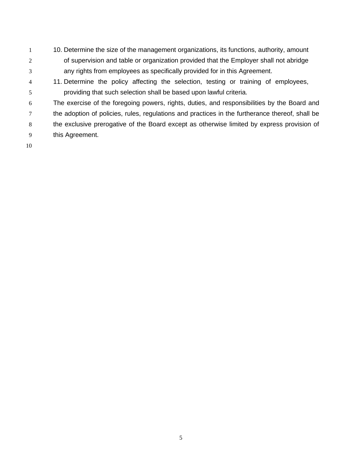- 1 10. Determine the size of the management organizations, its functions, authority, amount 2 of supervision and table or organization provided that the Employer shall not abridge 3 any rights from employees as specifically provided for in this Agreement.
- 4 11. Determine the policy affecting the selection, testing or training of employees, 5 providing that such selection shall be based upon lawful criteria.

6 The exercise of the foregoing powers, rights, duties, and responsibilities by the Board and 7 the adoption of policies, rules, regulations and practices in the furtherance thereof, shall be 8 the exclusive prerogative of the Board except as otherwise limited by express provision of 9 this Agreement.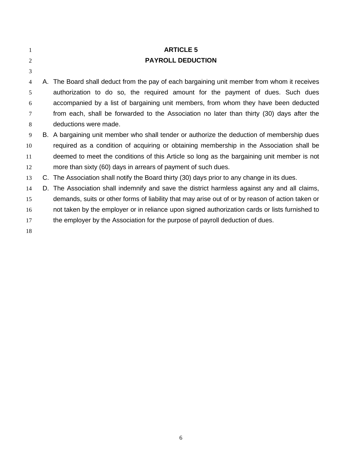| $\mathbf{1}$   |    | <b>ARTICLE 5</b>                                                                                 |
|----------------|----|--------------------------------------------------------------------------------------------------|
| 2              |    | <b>PAYROLL DEDUCTION</b>                                                                         |
| 3              |    |                                                                                                  |
| $\overline{4}$ |    | A. The Board shall deduct from the pay of each bargaining unit member from whom it receives      |
| 5              |    | authorization to do so, the required amount for the payment of dues. Such dues                   |
| 6              |    | accompanied by a list of bargaining unit members, from whom they have been deducted              |
| 7              |    | from each, shall be forwarded to the Association no later than thirty (30) days after the        |
| 8              |    | deductions were made.                                                                            |
| 9              |    | B. A bargaining unit member who shall tender or authorize the deduction of membership dues       |
| 10             |    | required as a condition of acquiring or obtaining membership in the Association shall be         |
| 11             |    | deemed to meet the conditions of this Article so long as the bargaining unit member is not       |
| 12             |    | more than sixty (60) days in arrears of payment of such dues.                                    |
| 13             |    | C. The Association shall notify the Board thirty (30) days prior to any change in its dues.      |
| 14             | D. | The Association shall indemnify and save the district harmless against any and all claims,       |
| 15             |    | demands, suits or other forms of liability that may arise out of or by reason of action taken or |
| 16             |    | not taken by the employer or in reliance upon signed authorization cards or lists furnished to   |
| 17             |    | the employer by the Association for the purpose of payroll deduction of dues.                    |
| 18             |    |                                                                                                  |
|                |    |                                                                                                  |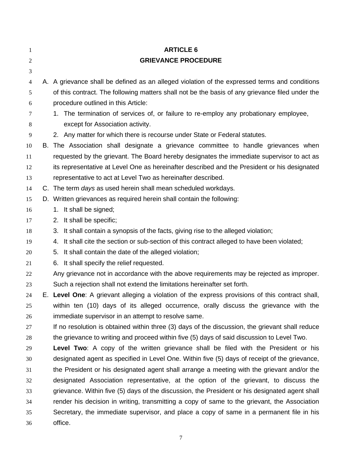| 1              | <b>ARTICLE 6</b>                                                                                |
|----------------|-------------------------------------------------------------------------------------------------|
| $\overline{c}$ | <b>GRIEVANCE PROCEDURE</b>                                                                      |
| 3              |                                                                                                 |
| 4              | A. A grievance shall be defined as an alleged violation of the expressed terms and conditions   |
| 5              | of this contract. The following matters shall not be the basis of any grievance filed under the |
| 6              | procedure outlined in this Article:                                                             |
| 7              | 1. The termination of services of, or failure to re-employ any probationary employee,           |
| 8              | except for Association activity.                                                                |
| 9              | 2. Any matter for which there is recourse under State or Federal statutes.                      |
| 10             | B. The Association shall designate a grievance committee to handle grievances when              |
| 11             | requested by the grievant. The Board hereby designates the immediate supervisor to act as       |
| 12             | its representative at Level One as hereinafter described and the President or his designated    |
| 13             | representative to act at Level Two as hereinafter described.                                    |
| 14             | C. The term days as used herein shall mean scheduled workdays.                                  |
| 15             | D. Written grievances as required herein shall contain the following:                           |
| 16             | 1. It shall be signed;                                                                          |
| 17             | 2. It shall be specific;                                                                        |
| 18             | 3. It shall contain a synopsis of the facts, giving rise to the alleged violation;              |
| 19             | 4. It shall cite the section or sub-section of this contract alleged to have been violated;     |
| 20             | 5. It shall contain the date of the alleged violation;                                          |
| 21             | 6. It shall specify the relief requested.                                                       |
| 22             | Any grievance not in accordance with the above requirements may be rejected as improper.        |
| 23             | Such a rejection shall not extend the limitations hereinafter set forth.                        |
| 24             | E. Level One: A grievant alleging a violation of the express provisions of this contract shall, |
| 25             | within ten (10) days of its alleged occurrence, orally discuss the grievance with the           |
| 26             | immediate supervisor in an attempt to resolve same.                                             |
| 27             | If no resolution is obtained within three (3) days of the discussion, the grievant shall reduce |
| 28             | the grievance to writing and proceed within five (5) days of said discussion to Level Two.      |
| 29             | <b>Level Two:</b> A copy of the written grievance shall be filed with the President or his      |
| 30             | designated agent as specified in Level One. Within five (5) days of receipt of the grievance,   |
| 31             | the President or his designated agent shall arrange a meeting with the grievant and/or the      |
| 32             | designated Association representative, at the option of the grievant, to discuss the            |
| 33             | grievance. Within five (5) days of the discussion, the President or his designated agent shall  |
| 34             | render his decision in writing, transmitting a copy of same to the grievant, the Association    |
| 35             | Secretary, the immediate supervisor, and place a copy of same in a permanent file in his        |
| 36             | office.                                                                                         |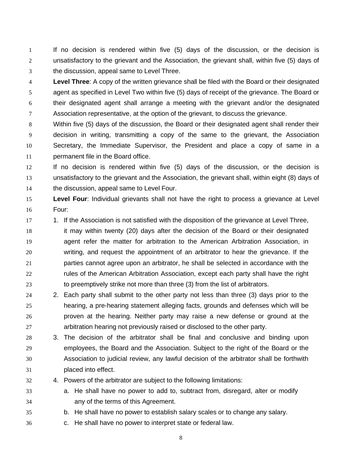If no decision is rendered within five (5) days of the discussion, or the decision is unsatisfactory to the grievant and the Association, the grievant shall, within five (5) days of the discussion, appeal same to Level Three.

 **Level Three**: A copy of the written grievance shall be filed with the Board or their designated agent as specified in Level Two within five (5) days of receipt of the grievance. The Board or their designated agent shall arrange a meeting with the grievant and/or the designated Association representative, at the option of the grievant, to discuss the grievance.

 Within five (5) days of the discussion, the Board or their designated agent shall render their decision in writing, transmitting a copy of the same to the grievant, the Association Secretary, the Immediate Supervisor, the President and place a copy of same in a permanent file in the Board office.

 If no decision is rendered within five (5) days of the discussion, or the decision is unsatisfactory to the grievant and the Association, the grievant shall, within eight (8) days of the discussion, appeal same to Level Four.

 **Level Four**: Individual grievants shall not have the right to process a grievance at Level Four:

17 1. If the Association is not satisfied with the disposition of the grievance at Level Three,

 it may within twenty (20) days after the decision of the Board or their designated agent refer the matter for arbitration to the American Arbitration Association, in writing, and request the appointment of an arbitrator to hear the grievance. If the parties cannot agree upon an arbitrator, he shall be selected in accordance with the rules of the American Arbitration Association, except each party shall have the right to preemptively strike not more than three (3) from the list of arbitrators.

 2. Each party shall submit to the other party not less than three (3) days prior to the hearing, a pre-hearing statement alleging facts, grounds and defenses which will be proven at the hearing. Neither party may raise a new defense or ground at the arbitration hearing not previously raised or disclosed to the other party.

 3. The decision of the arbitrator shall be final and conclusive and binding upon employees, the Board and the Association. Subject to the right of the Board or the Association to judicial review, any lawful decision of the arbitrator shall be forthwith placed into effect.

- 4. Powers of the arbitrator are subject to the following limitations:
- a. He shall have no power to add to, subtract from, disregard, alter or modify any of the terms of this Agreement.
- b. He shall have no power to establish salary scales or to change any salary.
- c. He shall have no power to interpret state or federal law.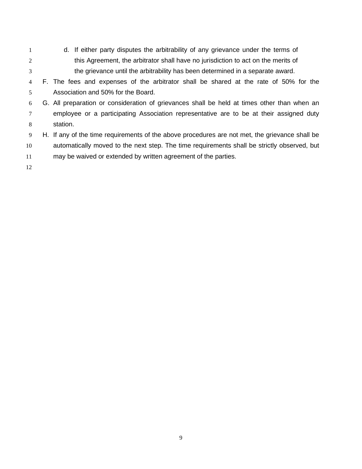d. If either party disputes the arbitrability of any grievance under the terms of this Agreement, the arbitrator shall have no jurisdiction to act on the merits of the grievance until the arbitrability has been determined in a separate award.

 F. The fees and expenses of the arbitrator shall be shared at the rate of 50% for the Association and 50% for the Board.

- G. All preparation or consideration of grievances shall be held at times other than when an employee or a participating Association representative are to be at their assigned duty station.
- H. If any of the time requirements of the above procedures are not met, the grievance shall be automatically moved to the next step. The time requirements shall be strictly observed, but may be waived or extended by written agreement of the parties.
-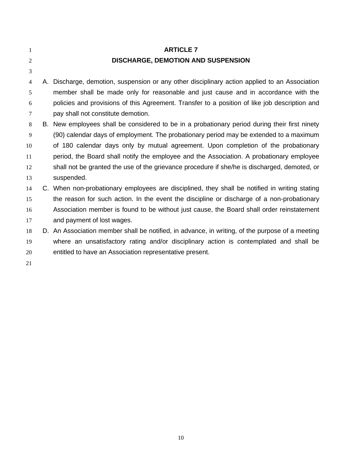| -1             | <b>ARTICLE 7</b>                                                                                |
|----------------|-------------------------------------------------------------------------------------------------|
| $\overline{2}$ | <b>DISCHARGE, DEMOTION AND SUSPENSION</b>                                                       |
| 3              |                                                                                                 |
| $\overline{4}$ | A. Discharge, demotion, suspension or any other disciplinary action applied to an Association   |
| 5              | member shall be made only for reasonable and just cause and in accordance with the              |
| 6              | policies and provisions of this Agreement. Transfer to a position of like job description and   |
| 7              | pay shall not constitute demotion.                                                              |
| 8              | B. New employees shall be considered to be in a probationary period during their first ninety   |
| 9              | (90) calendar days of employment. The probationary period may be extended to a maximum          |
| 10             | of 180 calendar days only by mutual agreement. Upon completion of the probationary              |
| 11             | period, the Board shall notify the employee and the Association. A probationary employee        |
| 12             | shall not be granted the use of the grievance procedure if she/he is discharged, demoted, or    |
| 13             | suspended.                                                                                      |
| 14             | C. When non-probationary employees are disciplined, they shall be notified in writing stating   |
| 15             | the reason for such action. In the event the discipline or discharge of a non-probationary      |
| 16             | Association member is found to be without just cause, the Board shall order reinstatement       |
| 17             | and payment of lost wages.                                                                      |
| 18             | D. An Association member shall be notified, in advance, in writing, of the purpose of a meeting |
| 19             | where an unsatisfactory rating and/or disciplinary action is contemplated and shall be          |
| 20             | entitled to have an Association representative present.                                         |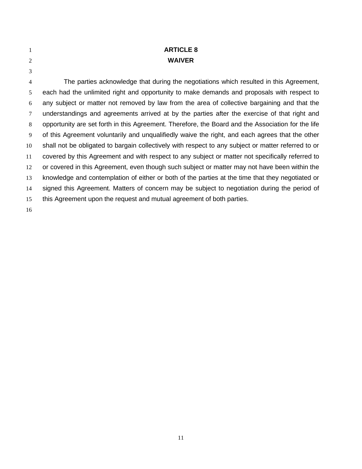| 1  | <b>ARTICLE 8</b>                                                                                    |
|----|-----------------------------------------------------------------------------------------------------|
| 2  | <b>WAIVER</b>                                                                                       |
| 3  |                                                                                                     |
| 4  | The parties acknowledge that during the negotiations which resulted in this Agreement,              |
| 5  | each had the unlimited right and opportunity to make demands and proposals with respect to          |
| 6  | any subject or matter not removed by law from the area of collective bargaining and that the        |
| 7  | understandings and agreements arrived at by the parties after the exercise of that right and        |
| 8  | opportunity are set forth in this Agreement. Therefore, the Board and the Association for the life  |
| 9  | of this Agreement voluntarily and unqualifiedly waive the right, and each agrees that the other     |
| 10 | shall not be obligated to bargain collectively with respect to any subject or matter referred to or |
| 11 | covered by this Agreement and with respect to any subject or matter not specifically referred to    |
| 12 | or covered in this Agreement, even though such subject or matter may not have been within the       |
| 13 | knowledge and contemplation of either or both of the parties at the time that they negotiated or    |
| 14 | signed this Agreement. Matters of concern may be subject to negotiation during the period of        |
| 15 | this Agreement upon the request and mutual agreement of both parties.                               |
| 16 |                                                                                                     |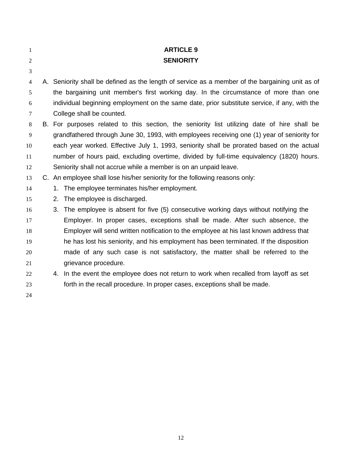| $\mathbf{1}$   | <b>ARTICLE 9</b>                                                                                |
|----------------|-------------------------------------------------------------------------------------------------|
| 2              | <b>SENIORITY</b>                                                                                |
| 3              |                                                                                                 |
| $\overline{4}$ | A. Seniority shall be defined as the length of service as a member of the bargaining unit as of |
| 5              | the bargaining unit member's first working day. In the circumstance of more than one            |
| 6              | individual beginning employment on the same date, prior substitute service, if any, with the    |
| 7              | College shall be counted.                                                                       |
| 8              | B. For purposes related to this section, the seniority list utilizing date of hire shall be     |
| 9              | grandfathered through June 30, 1993, with employees receiving one (1) year of seniority for     |
| 10             | each year worked. Effective July 1, 1993, seniority shall be prorated based on the actual       |
| 11             | number of hours paid, excluding overtime, divided by full-time equivalency (1820) hours.        |
| 12             | Seniority shall not accrue while a member is on an unpaid leave.                                |
| 13             | C. An employee shall lose his/her seniority for the following reasons only:                     |
| 14             | 1. The employee terminates his/her employment.                                                  |
| 15             | The employee is discharged.<br>2.                                                               |
| 16             | The employee is absent for five (5) consecutive working days without notifying the<br>3.        |
| 17             | Employer. In proper cases, exceptions shall be made. After such absence, the                    |
| 18             | Employer will send written notification to the employee at his last known address that          |
| 19             | he has lost his seniority, and his employment has been terminated. If the disposition           |
| 20             | made of any such case is not satisfactory, the matter shall be referred to the                  |
| 21             | grievance procedure.                                                                            |
| 22             | 4. In the event the employee does not return to work when recalled from layoff as set           |
| 23             | forth in the recall procedure. In proper cases, exceptions shall be made.                       |
| 24             |                                                                                                 |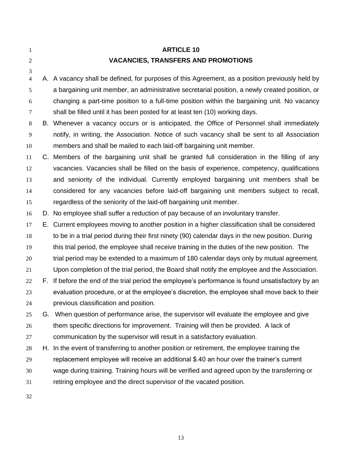- **ARTICLE 10 VACANCIES, TRANSFERS AND PROMOTIONS**
- A. A vacancy shall be defined, for purposes of this Agreement, as a position previously held by a bargaining unit member, an administrative secretarial position, a newly created position, or changing a part-time position to a full-time position within the bargaining unit. No vacancy shall be filled until it has been posted for at least ten (10) working days.

 B. Whenever a vacancy occurs or is anticipated, the Office of Personnel shall immediately notify, in writing, the Association. Notice of such vacancy shall be sent to all Association members and shall be mailed to each laid-off bargaining unit member.

 C. Members of the bargaining unit shall be granted full consideration in the filling of any vacancies. Vacancies shall be filled on the basis of experience, competency, qualifications and seniority of the individual. Currently employed bargaining unit members shall be considered for any vacancies before laid-off bargaining unit members subject to recall, regardless of the seniority of the laid-off bargaining unit member.

D. No employee shall suffer a reduction of pay because of an involuntary transfer.

 E. Current employees moving to another position in a higher classification shall be considered to be in a trial period during their first ninety (90) calendar days in the new position. During this trial period, the employee shall receive training in the duties of the new position. The

trial period may be extended to a maximum of 180 calendar days only by mutual agreement.

Upon completion of the trial period, the Board shall notify the employee and the Association.

 F. If before the end of the trial period the employee's performance is found unsatisfactory by an evaluation procedure, or at the employee's discretion, the employee shall move back to their previous classification and position.

 G. When question of performance arise, the supervisor will evaluate the employee and give 26 them specific directions for improvement. Training will then be provided. A lack of communication by the supervisor will result in a satisfactory evaluation.

H. In the event of transferring to another position or retirement, the employee training the

- replacement employee will receive an additional \$.40 an hour over the trainer's current
- wage during training. Training hours will be verified and agreed upon by the transferring or
- retiring employee and the direct supervisor of the vacated position.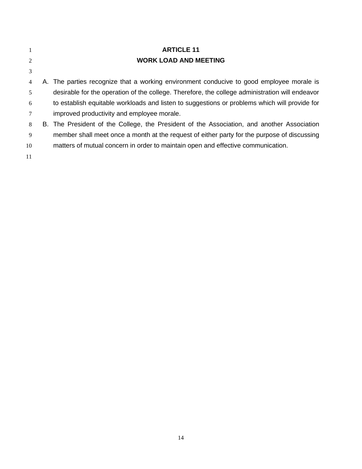|                | <b>ARTICLE 11</b>                                                                               |
|----------------|-------------------------------------------------------------------------------------------------|
| 2              | <b>WORK LOAD AND MEETING</b>                                                                    |
| 3              |                                                                                                 |
| $\overline{4}$ | A. The parties recognize that a working environment conducive to good employee morale is        |
| 5              | desirable for the operation of the college. Therefore, the college administration will endeavor |
| 6              | to establish equitable workloads and listen to suggestions or problems which will provide for   |
| 7              | improved productivity and employee morale.                                                      |
| 8              | B. The President of the College, the President of the Association, and another Association      |
| 9              | member shall meet once a month at the request of either party for the purpose of discussing     |
| 10             | matters of mutual concern in order to maintain open and effective communication.                |
| 11             |                                                                                                 |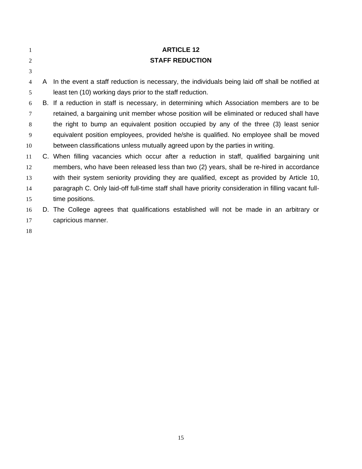| $\mathbf{1}$   |   | <b>ARTICLE 12</b>                                                                                    |
|----------------|---|------------------------------------------------------------------------------------------------------|
| 2              |   | <b>STAFF REDUCTION</b>                                                                               |
| 3              |   |                                                                                                      |
| $\overline{4}$ | A | In the event a staff reduction is necessary, the individuals being laid off shall be notified at     |
| 5              |   | least ten (10) working days prior to the staff reduction.                                            |
| 6              |   | B. If a reduction in staff is necessary, in determining which Association members are to be          |
| $\tau$         |   | retained, a bargaining unit member whose position will be eliminated or reduced shall have           |
| 8              |   | the right to bump an equivalent position occupied by any of the three (3) least senior               |
| 9              |   | equivalent position employees, provided he/she is qualified. No employee shall be moved              |
| 10             |   | between classifications unless mutually agreed upon by the parties in writing.                       |
| 11             |   | C. When filling vacancies which occur after a reduction in staff, qualified bargaining unit          |
| 12             |   | members, who have been released less than two (2) years, shall be re-hired in accordance             |
| 13             |   | with their system seniority providing they are qualified, except as provided by Article 10,          |
| 14             |   | paragraph C. Only laid-off full-time staff shall have priority consideration in filling vacant full- |
| 15             |   | time positions.                                                                                      |
| 16             |   | D. The College agrees that qualifications established will not be made in an arbitrary or            |
| 17             |   | capricious manner.                                                                                   |
|                |   |                                                                                                      |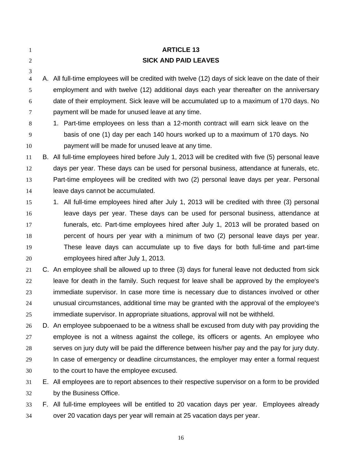| $\mathbf{1}$   | <b>ARTICLE 13</b>                                                                                    |
|----------------|------------------------------------------------------------------------------------------------------|
| $\overline{2}$ | <b>SICK AND PAID LEAVES</b>                                                                          |
| 3              |                                                                                                      |
| $\overline{4}$ | A. All full-time employees will be credited with twelve (12) days of sick leave on the date of their |
| 5              | employment and with twelve (12) additional days each year thereafter on the anniversary              |
| 6              | date of their employment. Sick leave will be accumulated up to a maximum of 170 days. No             |
| 7              | payment will be made for unused leave at any time.                                                   |
| 8              | 1. Part-time employees on less than a 12-month contract will earn sick leave on the                  |
| 9              | basis of one (1) day per each 140 hours worked up to a maximum of 170 days. No                       |
| 10             | payment will be made for unused leave at any time.                                                   |
| 11             | B. All full-time employees hired before July 1, 2013 will be credited with five (5) personal leave   |
| 12             | days per year. These days can be used for personal business, attendance at funerals, etc.            |
| 13             | Part-time employees will be credited with two (2) personal leave days per year. Personal             |
| 14             | leave days cannot be accumulated.                                                                    |
| 15             | 1. All full-time employees hired after July 1, 2013 will be credited with three (3) personal         |
| 16             | leave days per year. These days can be used for personal business, attendance at                     |
| 17             | funerals, etc. Part-time employees hired after July 1, 2013 will be prorated based on                |
| 18             | percent of hours per year with a minimum of two (2) personal leave days per year.                    |
| 19             | These leave days can accumulate up to five days for both full-time and part-time                     |
| 20             | employees hired after July 1, 2013.                                                                  |
| 21             | C. An employee shall be allowed up to three (3) days for funeral leave not deducted from sick        |
| 22             | leave for death in the family. Such request for leave shall be approved by the employee's            |
| 23             | immediate supervisor. In case more time is necessary due to distances involved or other              |
| 24             | unusual circumstances, additional time may be granted with the approval of the employee's            |
| 25             | immediate supervisor. In appropriate situations, approval will not be withheld.                      |
| 26             | D. An employee subpoenaed to be a witness shall be excused from duty with pay providing the          |
| 27             | employee is not a witness against the college, its officers or agents. An employee who               |
| 28             | serves on jury duty will be paid the difference between his/her pay and the pay for jury duty.       |
| 29             | In case of emergency or deadline circumstances, the employer may enter a formal request              |
| 30             | to the court to have the employee excused.                                                           |
| 31             | E. All employees are to report absences to their respective supervisor on a form to be provided      |
| 32             | by the Business Office.                                                                              |
| 33             | F. All full-time employees will be entitled to 20 vacation days per year. Employees already          |
| 34             | over 20 vacation days per year will remain at 25 vacation days per year.                             |
|                |                                                                                                      |
|                |                                                                                                      |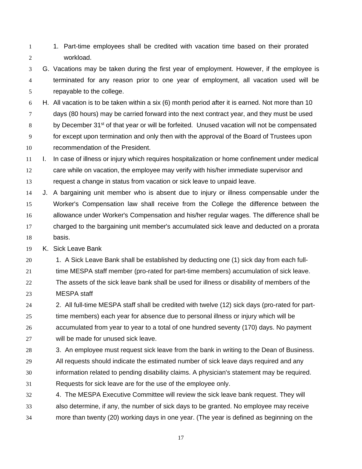1. Part-time employees shall be credited with vacation time based on their prorated workload.

 G. Vacations may be taken during the first year of employment. However, if the employee is terminated for any reason prior to one year of employment, all vacation used will be repayable to the college.

H. All vacation is to be taken within a six (6) month period after it is earned. Not more than 10

days (80 hours) may be carried forward into the next contract year, and they must be used

 $8 \times 8$  by December 31<sup>st</sup> of that year or will be forfeited. Unused vacation will not be compensated

 for except upon termination and only then with the approval of the Board of Trustees upon recommendation of the President.

 I. In case of illness or injury which requires hospitalization or home confinement under medical care while on vacation, the employee may verify with his/her immediate supervisor and request a change in status from vacation or sick leave to unpaid leave.

 J. A bargaining unit member who is absent due to injury or illness compensable under the Worker's Compensation law shall receive from the College the difference between the allowance under Worker's Compensation and his/her regular wages. The difference shall be charged to the bargaining unit member's accumulated sick leave and deducted on a prorata basis.

K. Sick Leave Bank

1. A Sick Leave Bank shall be established by deducting one (1) sick day from each full-

time MESPA staff member (pro-rated for part-time members) accumulation of sick leave.

 The assets of the sick leave bank shall be used for illness or disability of members of the MESPA staff

 2. All full-time MESPA staff shall be credited with twelve (12) sick days (pro-rated for part- time members) each year for absence due to personal illness or injury which will be accumulated from year to year to a total of one hundred seventy (170) days. No payment will be made for unused sick leave.

3. An employee must request sick leave from the bank in writing to the Dean of Business.

- All requests should indicate the estimated number of sick leave days required and any
- information related to pending disability claims. A physician's statement may be required.

Requests for sick leave are for the use of the employee only.

 4. The MESPA Executive Committee will review the sick leave bank request. They will also determine, if any, the number of sick days to be granted. No employee may receive more than twenty (20) working days in one year. (The year is defined as beginning on the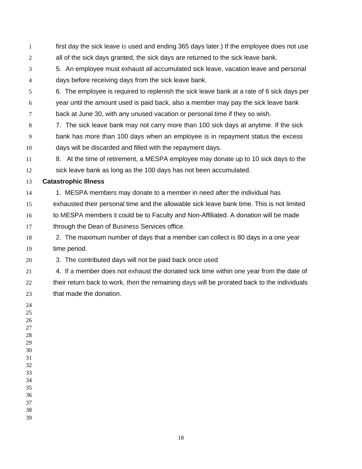- first day the sick leave is used and ending 365 days later.) If the employee does not use all of the sick days granted, the sick days are returned to the sick leave bank.
- 5. An employee must exhaust all accumulated sick leave, vacation leave and personal days before receiving days from the sick leave bank.
- 6. The employee is required to replenish the sick leave bank at a rate of 6 sick days per year until the amount used is paid back, also a member may pay the sick leave bank back at June 30, with any unused vacation or personal time if they so wish.
- 7. The sick leave bank may not carry more than 100 sick days at anytime. If the sick bank has more than 100 days when an employee is in repayment status the excess days will be discarded and filled with the repayment days.
- 8. At the time of retirement, a MESPA employee may donate up to 10 sick days to the sick leave bank as long as the 100 days has not been accumulated.

#### **Catastrophic Illness**

- 14 1. MESPA members may donate to a member in need after the individual has
- exhausted their personal time and the allowable sick leave bank time. This is not limited
- 16 to MESPA members it could be to Faculty and Non-Affiliated. A donation will be made 17 through the Dean of Business Services office.
- 2. The maximum number of days that a member can collect is 80 days in a one year time period.
- 3. The contributed days will not be paid back once used
- 4. If a member does not exhaust the donated sick time within one year from the date of their return back to work, then the remaining days will be prorated back to the individuals that made the donation.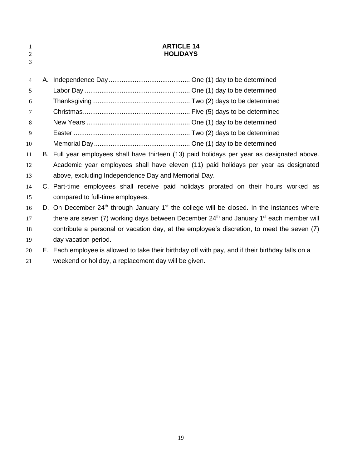| 1<br>2<br>3    | <b>ARTICLE 14</b><br><b>HOLIDAYS</b>                                                                               |
|----------------|--------------------------------------------------------------------------------------------------------------------|
| $\overline{4}$ |                                                                                                                    |
| 5              |                                                                                                                    |
| 6              |                                                                                                                    |
| 7              |                                                                                                                    |
| 8              |                                                                                                                    |
| 9              |                                                                                                                    |
| 10             |                                                                                                                    |
| 11             | B. Full year employees shall have thirteen (13) paid holidays per year as designated above.                        |
| 12             | Academic year employees shall have eleven (11) paid holidays per year as designated                                |
| 13             | above, excluding Independence Day and Memorial Day.                                                                |
| 14             | C. Part-time employees shall receive paid holidays prorated on their hours worked as                               |
| 15             | compared to full-time employees.                                                                                   |
| 16             | D. On December 24 <sup>th</sup> through January 1 <sup>st</sup> the college will be closed. In the instances where |
| 17             | there are seven (7) working days between December 24 <sup>th</sup> and January 1 <sup>st</sup> each member will    |
| 18             | contribute a personal or vacation day, at the employee's discretion, to meet the seven (7)                         |
| 19             | day vacation period.                                                                                               |
| 20             | E. Each employee is allowed to take their birthday off with pay, and if their birthday falls on a                  |
| 21             | weekend or holiday, a replacement day will be given.                                                               |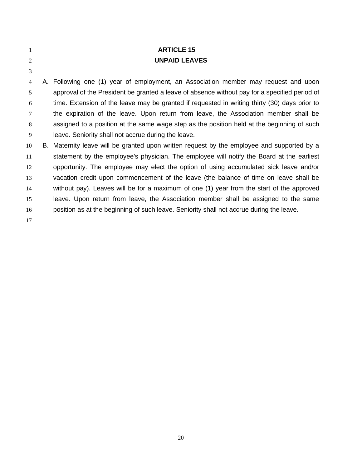| $\overline{1}$ |    | <b>ARTICLE 15</b>                                                                             |
|----------------|----|-----------------------------------------------------------------------------------------------|
| 2              |    | <b>UNPAID LEAVES</b>                                                                          |
| 3              |    |                                                                                               |
| 4              |    | A. Following one (1) year of employment, an Association member may request and upon           |
| 5              |    | approval of the President be granted a leave of absence without pay for a specified period of |
| 6              |    | time. Extension of the leave may be granted if requested in writing thirty (30) days prior to |
| 7              |    | the expiration of the leave. Upon return from leave, the Association member shall be          |
| 8              |    | assigned to a position at the same wage step as the position held at the beginning of such    |
| 9              |    | leave. Seniority shall not accrue during the leave.                                           |
| 10             | В. | Maternity leave will be granted upon written request by the employee and supported by a       |
| 11             |    | statement by the employee's physician. The employee will notify the Board at the earliest     |
| 12             |    | opportunity. The employee may elect the option of using accumulated sick leave and/or         |
| 13             |    | vacation credit upon commencement of the leave (the balance of time on leave shall be         |
| 14             |    | without pay). Leaves will be for a maximum of one (1) year from the start of the approved     |
| 15             |    | leave. Upon return from leave, the Association member shall be assigned to the same           |
| 16             |    | position as at the beginning of such leave. Seniority shall not accrue during the leave.      |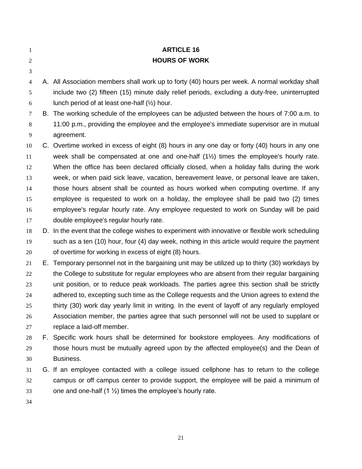| $\mathbf{1}$   | <b>ARTICLE 16</b>                                                                                 |  |  |  |  |  |  |  |
|----------------|---------------------------------------------------------------------------------------------------|--|--|--|--|--|--|--|
| $\mathfrak{2}$ | <b>HOURS OF WORK</b>                                                                              |  |  |  |  |  |  |  |
| 3              |                                                                                                   |  |  |  |  |  |  |  |
| $\overline{4}$ | A. All Association members shall work up to forty (40) hours per week. A normal workday shall     |  |  |  |  |  |  |  |
| 5              | include two (2) fifteen (15) minute daily relief periods, excluding a duty-free, uninterrupted    |  |  |  |  |  |  |  |
| 6              | lunch period of at least one-half $(\frac{1}{2})$ hour.                                           |  |  |  |  |  |  |  |
| 7              | B. The working schedule of the employees can be adjusted between the hours of 7:00 a.m. to        |  |  |  |  |  |  |  |
| 8              | 11:00 p.m., providing the employee and the employee's immediate supervisor are in mutual          |  |  |  |  |  |  |  |
| 9              | agreement.                                                                                        |  |  |  |  |  |  |  |
| 10             | C. Overtime worked in excess of eight (8) hours in any one day or forty (40) hours in any one     |  |  |  |  |  |  |  |
| 11             | week shall be compensated at one and one-half $(1/2)$ times the employee's hourly rate.           |  |  |  |  |  |  |  |
| 12             | When the office has been declared officially closed, when a holiday falls during the work         |  |  |  |  |  |  |  |
| 13             | week, or when paid sick leave, vacation, bereavement leave, or personal leave are taken,          |  |  |  |  |  |  |  |
| 14             | those hours absent shall be counted as hours worked when computing overtime. If any               |  |  |  |  |  |  |  |
| 15             | employee is requested to work on a holiday, the employee shall be paid two (2) times              |  |  |  |  |  |  |  |
| 16             | employee's regular hourly rate. Any employee requested to work on Sunday will be paid             |  |  |  |  |  |  |  |
| 17             | double employee's regular hourly rate.                                                            |  |  |  |  |  |  |  |
| 18             | D. In the event that the college wishes to experiment with innovative or flexible work scheduling |  |  |  |  |  |  |  |
| 19             | such as a ten (10) hour, four (4) day week, nothing in this article would require the payment     |  |  |  |  |  |  |  |
| 20             | of overtime for working in excess of eight (8) hours.                                             |  |  |  |  |  |  |  |
| 21             | E. Temporary personnel not in the bargaining unit may be utilized up to thirty (30) workdays by   |  |  |  |  |  |  |  |
| 22             | the College to substitute for regular employees who are absent from their regular bargaining      |  |  |  |  |  |  |  |
| 23             | unit position, or to reduce peak workloads. The parties agree this section shall be strictly      |  |  |  |  |  |  |  |
| 24             | adhered to, excepting such time as the College requests and the Union agrees to extend the        |  |  |  |  |  |  |  |
| 25             | thirty (30) work day yearly limit in writing. In the event of layoff of any regularly employed    |  |  |  |  |  |  |  |
| 26             | Association member, the parties agree that such personnel will not be used to supplant or         |  |  |  |  |  |  |  |
| 27             | replace a laid-off member.                                                                        |  |  |  |  |  |  |  |
| 28             | F. Specific work hours shall be determined for bookstore employees. Any modifications of          |  |  |  |  |  |  |  |
| 29             | those hours must be mutually agreed upon by the affected employee(s) and the Dean of              |  |  |  |  |  |  |  |
| 30             | Business.                                                                                         |  |  |  |  |  |  |  |
| 31             | G. If an employee contacted with a college issued cellphone has to return to the college          |  |  |  |  |  |  |  |
| 32             | campus or off campus center to provide support, the employee will be paid a minimum of            |  |  |  |  |  |  |  |
| 33             | one and one-half $(1 \frac{1}{2})$ times the employee's hourly rate.                              |  |  |  |  |  |  |  |
| 34             |                                                                                                   |  |  |  |  |  |  |  |
|                |                                                                                                   |  |  |  |  |  |  |  |
|                |                                                                                                   |  |  |  |  |  |  |  |
|                | 21                                                                                                |  |  |  |  |  |  |  |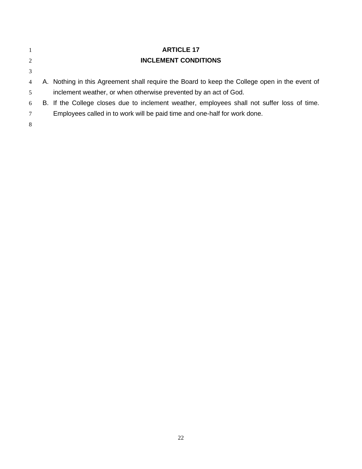| 1              | <b>ARTICLE 17</b>                                                                             |
|----------------|-----------------------------------------------------------------------------------------------|
| $\overline{2}$ | <b>INCLEMENT CONDITIONS</b>                                                                   |
| 3              |                                                                                               |
| $\overline{4}$ | A. Nothing in this Agreement shall require the Board to keep the College open in the event of |
| 5              | inclement weather, or when otherwise prevented by an act of God.                              |
| 6              | B. If the College closes due to inclement weather, employees shall not suffer loss of time.   |
|                | Employees called in to work will be paid time and one-half for work done.                     |
| 8              |                                                                                               |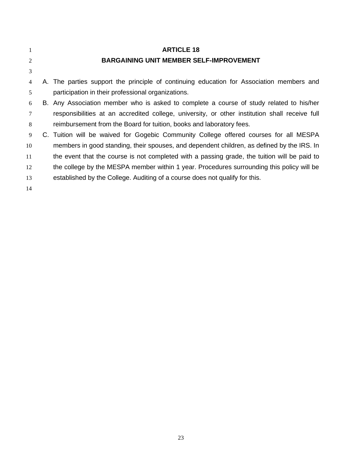| -1             | <b>ARTICLE 18</b>                                                                              |
|----------------|------------------------------------------------------------------------------------------------|
| 2              | <b>BARGAINING UNIT MEMBER SELF-IMPROVEMENT</b>                                                 |
| 3              |                                                                                                |
| $\overline{4}$ | A. The parties support the principle of continuing education for Association members and       |
| 5              | participation in their professional organizations.                                             |
| 6              | B. Any Association member who is asked to complete a course of study related to his/her        |
| 7              | responsibilities at an accredited college, university, or other institution shall receive full |
| 8              | reimbursement from the Board for tuition, books and laboratory fees.                           |
| 9              | C. Tuition will be waived for Gogebic Community College offered courses for all MESPA          |
| 10             | members in good standing, their spouses, and dependent children, as defined by the IRS. In     |
| 11             | the event that the course is not completed with a passing grade, the tuition will be paid to   |
| 12             | the college by the MESPA member within 1 year. Procedures surrounding this policy will be      |
| 13             | established by the College. Auditing of a course does not qualify for this.                    |
| 14             |                                                                                                |
|                |                                                                                                |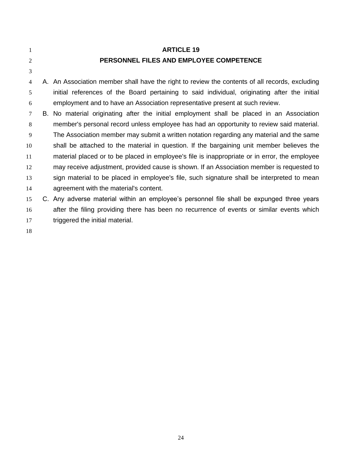#### **ARTICLE 19**

### 

#### **PERSONNEL FILES AND EMPLOYEE COMPETENCE**

 A. An Association member shall have the right to review the contents of all records, excluding initial references of the Board pertaining to said individual, originating after the initial employment and to have an Association representative present at such review.

 B. No material originating after the initial employment shall be placed in an Association member's personal record unless employee has had an opportunity to review said material. The Association member may submit a written notation regarding any material and the same shall be attached to the material in question. If the bargaining unit member believes the material placed or to be placed in employee's file is inappropriate or in error, the employee may receive adjustment, provided cause is shown. If an Association member is requested to 13 sign material to be placed in employee's file, such signature shall be interpreted to mean agreement with the material's content.

 C. Any adverse material within an employee's personnel file shall be expunged three years 16 after the filing providing there has been no recurrence of events or similar events which triggered the initial material.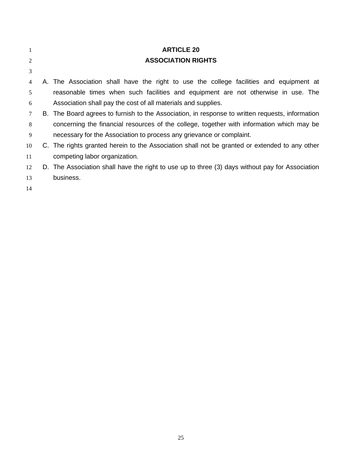| $\mathbf{1}$ | <b>ARTICLE 20</b>                                                                               |
|--------------|-------------------------------------------------------------------------------------------------|
| 2            | <b>ASSOCIATION RIGHTS</b>                                                                       |
| 3            |                                                                                                 |
| 4            | A. The Association shall have the right to use the college facilities and equipment at          |
| 5            | reasonable times when such facilities and equipment are not otherwise in use. The               |
| 6            | Association shall pay the cost of all materials and supplies.                                   |
| $\tau$       | B. The Board agrees to furnish to the Association, in response to written requests, information |
| 8            | concerning the financial resources of the college, together with information which may be       |
| 9            | necessary for the Association to process any grievance or complaint.                            |
| 10           | C. The rights granted herein to the Association shall not be granted or extended to any other   |
| 11           | competing labor organization.                                                                   |
| 12           | D. The Association shall have the right to use up to three (3) days without pay for Association |
| 13           | business.                                                                                       |
| 14           |                                                                                                 |
|              |                                                                                                 |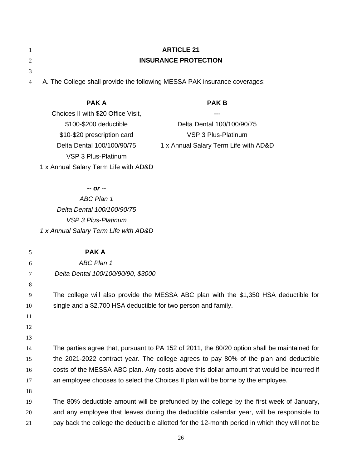|               | <b>ARTICLE 21</b>                                                           |
|---------------|-----------------------------------------------------------------------------|
| 2             | <b>INSURANCE PROTECTION</b>                                                 |
| $\mathcal{R}$ |                                                                             |
|               | 4 A. The College shall provide the following MESSA PAK insurance coverages: |

#### **PAK A**

#### **PAK B**

| Choices II with \$20 Office Visit,    |                                       |
|---------------------------------------|---------------------------------------|
| \$100-\$200 deductible                | Delta Dental 100/100/90/75            |
| \$10-\$20 prescription card           | VSP 3 Plus-Platinum                   |
| Delta Dental 100/100/90/75            | 1 x Annual Salary Term Life with AD&D |
| VSP 3 Plus-Platinum                   |                                       |
| 1 x Annual Salary Term Life with AD&D |                                       |

*-- or -- ABC Plan 1 Delta Dental 100/100/90/75 VSP 3 Plus-Platinum 1 x Annual Salary Term Life with AD&D*

| 5  | <b>PAKA</b>                                                                                    |
|----|------------------------------------------------------------------------------------------------|
| 6  | ABC Plan 1                                                                                     |
| 7  | Delta Dental 100/100/90/90, \$3000                                                             |
| 8  |                                                                                                |
| 9  | The college will also provide the MESSA ABC plan with the \$1,350 HSA deductible for           |
| 10 | single and a \$2,700 HSA deductible for two person and family.                                 |
| 11 |                                                                                                |
| 12 |                                                                                                |
| 13 |                                                                                                |
| 14 | The parties agree that, pursuant to PA 152 of 2011, the 80/20 option shall be maintained for   |
| 15 | the 2021-2022 contract year. The college agrees to pay 80% of the plan and deductible          |
| 16 | costs of the MESSA ABC plan. Any costs above this dollar amount that would be incurred if      |
| 17 | an employee chooses to select the Choices II plan will be borne by the employee.               |
| 18 |                                                                                                |
| 19 | The 80% deductible amount will be prefunded by the college by the first week of January,       |
| 20 | and any employee that leaves during the deductible calendar year, will be responsible to       |
| 21 | pay back the college the deductible allotted for the 12-month period in which they will not be |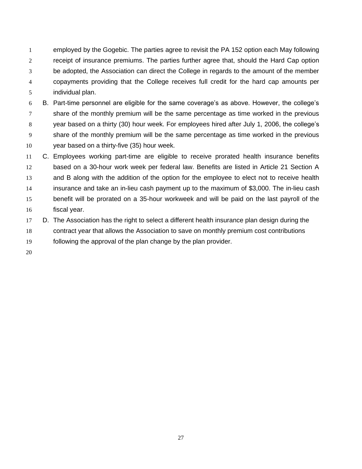employed by the Gogebic. The parties agree to revisit the PA 152 option each May following receipt of insurance premiums. The parties further agree that, should the Hard Cap option be adopted, the Association can direct the College in regards to the amount of the member copayments providing that the College receives full credit for the hard cap amounts per individual plan.

 B. Part-time personnel are eligible for the same coverage's as above. However, the college's share of the monthly premium will be the same percentage as time worked in the previous year based on a thirty (30) hour week. For employees hired after July 1, 2006, the college's share of the monthly premium will be the same percentage as time worked in the previous year based on a thirty-five (35) hour week.

 C. Employees working part-time are eligible to receive prorated health insurance benefits based on a 30-hour work week per federal law. Benefits are listed in Article 21 Section A 13 and B along with the addition of the option for the employee to elect not to receive health insurance and take an in-lieu cash payment up to the maximum of \$3,000. The in-lieu cash benefit will be prorated on a 35-hour workweek and will be paid on the last payroll of the fiscal year.

- D. The Association has the right to select a different health insurance plan design during the contract year that allows the Association to save on monthly premium cost contributions following the approval of the plan change by the plan provider.
-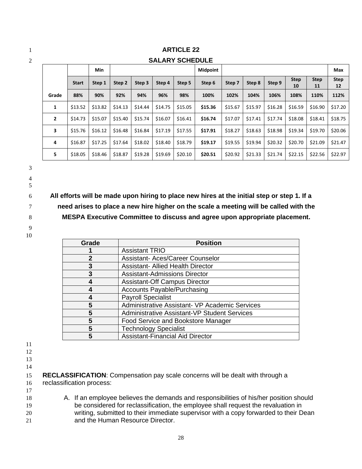|   |       | <b>ARTICLE 22</b>      |         |         |         |         |         |                 |         |         |         |                   |                   |                   |
|---|-------|------------------------|---------|---------|---------|---------|---------|-----------------|---------|---------|---------|-------------------|-------------------|-------------------|
| 2 |       | <b>SALARY SCHEDULE</b> |         |         |         |         |         |                 |         |         |         |                   |                   |                   |
|   |       |                        | Min     |         |         |         |         | <b>Midpoint</b> |         |         | Max     |                   |                   |                   |
|   |       | <b>Start</b>           | Step 1  | Step 2  | Step 3  | Step 4  | Step 5  | Step 6          | Step 7  | Step 8  | Step 9  | <b>Step</b><br>10 | <b>Step</b><br>11 | <b>Step</b><br>12 |
|   | Grade | 88%                    | 90%     | 92%     | 94%     | 96%     | 98%     | 100%            | 102%    | 104%    | 106%    | 108%              | 110%              | 112%              |
|   | 1     | \$13.52                | \$13.82 | \$14.13 | \$14.44 | \$14.75 | \$15.05 | \$15.36         | \$15.67 | \$15.97 | \$16.28 | \$16.59           | \$16.90           | \$17.20           |
|   | 2     | \$14.73                | \$15.07 | \$15.40 | \$15.74 | \$16.07 | \$16.41 | \$16.74         | \$17.07 | \$17.41 | \$17.74 | \$18.08           | \$18.41           | \$18.75           |
|   | 3     | \$15.76                | \$16.12 | \$16.48 | \$16.84 | \$17.19 | \$17.55 | \$17.91         | \$18.27 | \$18.63 | \$18.98 | \$19.34           | \$19.70           | \$20.06           |
|   | 4     | \$16.87                | \$17.25 | \$17.64 | \$18.02 | \$18.40 | \$18.79 | \$19.17         | \$19.55 | \$19.94 | \$20.32 | \$20.70           | \$21.09           | \$21.47           |
|   | 5     | \$18.05                | \$18.46 | \$18.87 | \$19.28 | \$19.69 | \$20.10 | \$20.51         | \$20.92 | \$21.33 | \$21.74 | \$22.15           | \$22.56           | \$22.97           |

 **All efforts will be made upon hiring to place new hires at the initial step or step 1. If a need arises to place a new hire higher on the scale a meeting will be called with the MESPA Executive Committee to discuss and agree upon appropriate placement.**

 

| Grade | <b>Position</b>                                     |
|-------|-----------------------------------------------------|
|       | <b>Assistant TRIO</b>                               |
| 2     | Assistant- Aces/Career Counselor                    |
| 3     | <b>Assistant- Allied Health Director</b>            |
| 3     | <b>Assistant-Admissions Director</b>                |
|       | <b>Assistant-Off Campus Director</b>                |
|       | <b>Accounts Payable/Purchasing</b>                  |
|       | <b>Payroll Specialist</b>                           |
| 5     | Administrative Assistant- VP Academic Services      |
| 5     | <b>Administrative Assistant-VP Student Services</b> |
| 5     | Food Service and Bookstore Manager                  |
| 5     | <b>Technology Specialist</b>                        |
|       | <b>Assistant-Financial Aid Director</b>             |

- 
- 
- 

 **RECLASSIFICATION**: Compensation pay scale concerns will be dealt with through a reclassification process: 

18 A. If an employee believes the demands and responsibilities of his/her position should be considered for reclassification, the employee shall request the revaluation in writing, submitted to their immediate supervisor with a copy forwarded to their Dean 21 and the Human Resource Director.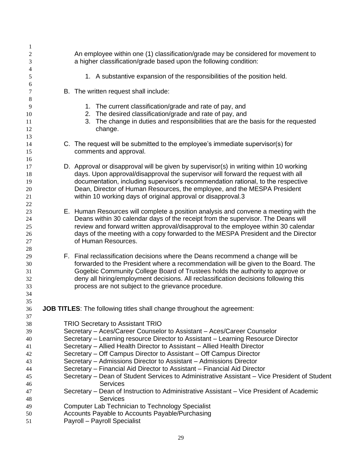| 1              |                                                                                              |                                                                                                                                                                    |  |  |  |
|----------------|----------------------------------------------------------------------------------------------|--------------------------------------------------------------------------------------------------------------------------------------------------------------------|--|--|--|
| $\overline{c}$ |                                                                                              | An employee within one (1) classification/grade may be considered for movement to                                                                                  |  |  |  |
| 3              |                                                                                              | a higher classification/grade based upon the following condition:                                                                                                  |  |  |  |
| 4              |                                                                                              |                                                                                                                                                                    |  |  |  |
| 5              |                                                                                              | 1. A substantive expansion of the responsibilities of the position held.                                                                                           |  |  |  |
| 6              |                                                                                              |                                                                                                                                                                    |  |  |  |
| 7              |                                                                                              | B. The written request shall include:                                                                                                                              |  |  |  |
| 8              |                                                                                              |                                                                                                                                                                    |  |  |  |
| 9              |                                                                                              | 1. The current classification/grade and rate of pay, and                                                                                                           |  |  |  |
| 10             |                                                                                              | 2. The desired classification/grade and rate of pay, and                                                                                                           |  |  |  |
| 11             |                                                                                              | 3. The change in duties and responsibilities that are the basis for the requested                                                                                  |  |  |  |
| 12             |                                                                                              | change.                                                                                                                                                            |  |  |  |
| 13             |                                                                                              |                                                                                                                                                                    |  |  |  |
| 14             |                                                                                              | C. The request will be submitted to the employee's immediate supervisor(s) for                                                                                     |  |  |  |
| 15             |                                                                                              | comments and approval.                                                                                                                                             |  |  |  |
| 16             |                                                                                              |                                                                                                                                                                    |  |  |  |
| 17             |                                                                                              | D. Approval or disapproval will be given by supervisor(s) in writing within 10 working                                                                             |  |  |  |
| 18             |                                                                                              | days. Upon approval/disapproval the supervisor will forward the request with all                                                                                   |  |  |  |
| 19             |                                                                                              | documentation, including supervisor's recommendation rational, to the respective                                                                                   |  |  |  |
| 20             |                                                                                              | Dean, Director of Human Resources, the employee, and the MESPA President                                                                                           |  |  |  |
| 21             |                                                                                              | within 10 working days of original approval or disapproval.3                                                                                                       |  |  |  |
| 22             |                                                                                              |                                                                                                                                                                    |  |  |  |
| 23             |                                                                                              | E. Human Resources will complete a position analysis and convene a meeting with the                                                                                |  |  |  |
| 24             |                                                                                              | Deans within 30 calendar days of the receipt from the supervisor. The Deans will                                                                                   |  |  |  |
| 25             |                                                                                              | review and forward written approval/disapproval to the employee within 30 calendar                                                                                 |  |  |  |
| 26             |                                                                                              | days of the meeting with a copy forwarded to the MESPA President and the Director                                                                                  |  |  |  |
| 27             |                                                                                              | of Human Resources.                                                                                                                                                |  |  |  |
| 28             |                                                                                              |                                                                                                                                                                    |  |  |  |
| 29             |                                                                                              | F. Final reclassification decisions where the Deans recommend a change will be                                                                                     |  |  |  |
| 30             |                                                                                              | forwarded to the President where a recommendation will be given to the Board. The<br>Gogebic Community College Board of Trustees holds the authority to approve or |  |  |  |
| 31<br>32       |                                                                                              | deny all hiring/employment decisions. All reclassification decisions following this                                                                                |  |  |  |
| 33             |                                                                                              | process are not subject to the grievance procedure.                                                                                                                |  |  |  |
| 34             |                                                                                              |                                                                                                                                                                    |  |  |  |
| 35             |                                                                                              |                                                                                                                                                                    |  |  |  |
| 36             |                                                                                              | JOB TITLES: The following titles shall change throughout the agreement:                                                                                            |  |  |  |
| 37             |                                                                                              |                                                                                                                                                                    |  |  |  |
| 38             |                                                                                              | <b>TRIO Secretary to Assistant TRIO</b>                                                                                                                            |  |  |  |
| 39             |                                                                                              | Secretary – Aces/Career Counselor to Assistant – Aces/Career Counselor                                                                                             |  |  |  |
| 40             | Secretary - Learning resource Director to Assistant - Learning Resource Director             |                                                                                                                                                                    |  |  |  |
| 41             |                                                                                              | Secretary – Allied Health Director to Assistant – Allied Health Director                                                                                           |  |  |  |
| 42             | Secretary – Off Campus Director to Assistant – Off Campus Director                           |                                                                                                                                                                    |  |  |  |
| 43             | Secretary - Admissions Director to Assistant - Admissions Director                           |                                                                                                                                                                    |  |  |  |
| 44             | Secretary – Financial Aid Director to Assistant – Financial Aid Director                     |                                                                                                                                                                    |  |  |  |
| 45             | Secretary – Dean of Student Services to Administrative Assistant – Vice President of Student |                                                                                                                                                                    |  |  |  |
| 46             |                                                                                              | <b>Services</b>                                                                                                                                                    |  |  |  |
| 47             |                                                                                              | Secretary - Dean of Instruction to Administrative Assistant - Vice President of Academic                                                                           |  |  |  |
| 48             |                                                                                              | <b>Services</b>                                                                                                                                                    |  |  |  |
| 49             |                                                                                              | Computer Lab Technician to Technology Specialist                                                                                                                   |  |  |  |
| 50             |                                                                                              | Accounts Payable to Accounts Payable/Purchasing                                                                                                                    |  |  |  |
| 51             |                                                                                              | Payroll - Payroll Specialist                                                                                                                                       |  |  |  |
|                |                                                                                              |                                                                                                                                                                    |  |  |  |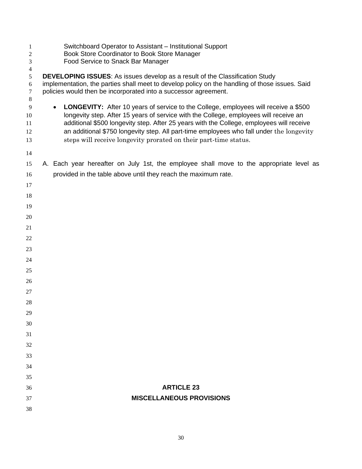| 1<br>2<br>3               | Switchboard Operator to Assistant - Institutional Support<br>Book Store Coordinator to Book Store Manager<br>Food Service to Snack Bar Manager                                                                                                                                                                                                                                                                                                               |
|---------------------------|--------------------------------------------------------------------------------------------------------------------------------------------------------------------------------------------------------------------------------------------------------------------------------------------------------------------------------------------------------------------------------------------------------------------------------------------------------------|
| $\overline{4}$            |                                                                                                                                                                                                                                                                                                                                                                                                                                                              |
| 5<br>6<br>7<br>$\,8\,$    | <b>DEVELOPING ISSUES:</b> As issues develop as a result of the Classification Study<br>implementation, the parties shall meet to develop policy on the handling of those issues. Said<br>policies would then be incorporated into a successor agreement.                                                                                                                                                                                                     |
| 9<br>10<br>11<br>12<br>13 | <b>LONGEVITY:</b> After 10 years of service to the College, employees will receive a \$500<br>$\bullet$<br>longevity step. After 15 years of service with the College, employees will receive an<br>additional \$500 longevity step. After 25 years with the College, employees will receive<br>an additional \$750 longevity step. All part-time employees who fall under the longevity<br>steps will receive longevity prorated on their part-time status. |
| 14                        |                                                                                                                                                                                                                                                                                                                                                                                                                                                              |
| 15                        | A. Each year hereafter on July 1st, the employee shall move to the appropriate level as                                                                                                                                                                                                                                                                                                                                                                      |
| 16                        | provided in the table above until they reach the maximum rate.                                                                                                                                                                                                                                                                                                                                                                                               |
| 17<br>18                  |                                                                                                                                                                                                                                                                                                                                                                                                                                                              |
| 19                        |                                                                                                                                                                                                                                                                                                                                                                                                                                                              |
| 20                        |                                                                                                                                                                                                                                                                                                                                                                                                                                                              |
| 21                        |                                                                                                                                                                                                                                                                                                                                                                                                                                                              |
| 22                        |                                                                                                                                                                                                                                                                                                                                                                                                                                                              |
| 23                        |                                                                                                                                                                                                                                                                                                                                                                                                                                                              |
| 24                        |                                                                                                                                                                                                                                                                                                                                                                                                                                                              |
| 25                        |                                                                                                                                                                                                                                                                                                                                                                                                                                                              |
| 26                        |                                                                                                                                                                                                                                                                                                                                                                                                                                                              |
| 27                        |                                                                                                                                                                                                                                                                                                                                                                                                                                                              |
| 28                        |                                                                                                                                                                                                                                                                                                                                                                                                                                                              |
| 29                        |                                                                                                                                                                                                                                                                                                                                                                                                                                                              |
| 30                        |                                                                                                                                                                                                                                                                                                                                                                                                                                                              |
| 31                        |                                                                                                                                                                                                                                                                                                                                                                                                                                                              |
| 32                        |                                                                                                                                                                                                                                                                                                                                                                                                                                                              |
| 33<br>34                  |                                                                                                                                                                                                                                                                                                                                                                                                                                                              |
| 35                        |                                                                                                                                                                                                                                                                                                                                                                                                                                                              |
| 36                        | <b>ARTICLE 23</b>                                                                                                                                                                                                                                                                                                                                                                                                                                            |
| 37                        | <b>MISCELLANEOUS PROVISIONS</b>                                                                                                                                                                                                                                                                                                                                                                                                                              |
| 38                        |                                                                                                                                                                                                                                                                                                                                                                                                                                                              |
|                           |                                                                                                                                                                                                                                                                                                                                                                                                                                                              |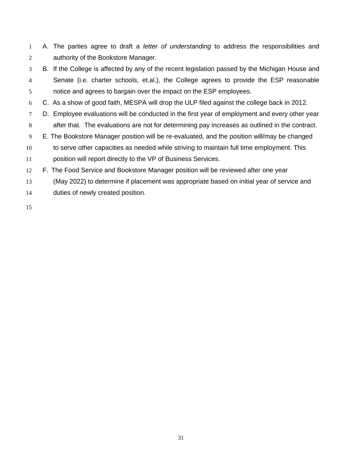- A. The parties agree to draft a *letter of understanding* to address the responsibilities and authority of the Bookstore Manager.
- B. If the College is affected by any of the recent legislation passed by the Michigan House and Senate (i.e. charter schools, et.al.), the College agrees to provide the ESP reasonable notice and agrees to bargain over the impact on the ESP employees.
- C. As a show of good faith, MESPA will drop the ULP filed against the college back in 2012.
- D. Employee evaluations will be conducted in the first year of employment and every other year
- after that. The evaluations are not for determining pay increases as outlined in the contract.
- E. The Bookstore Manager position will be re-evaluated, and the position will/may be changed
- to serve other capacities as needed while striving to maintain full time employment. This
- position will report directly to the VP of Business Services.
- F. The Food Service and Bookstore Manager position will be reviewed after one year
- (May 2022) to determine if placement was appropriate based on initial year of service and
- duties of newly created position.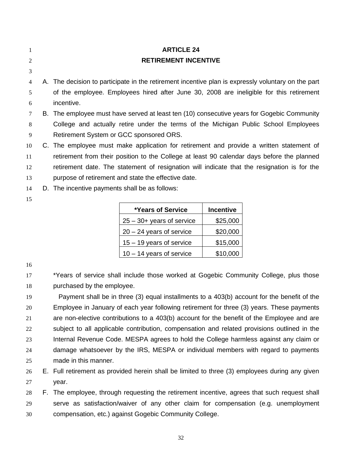| 1              | <b>ARTICLE 24</b>                                                                                  |
|----------------|----------------------------------------------------------------------------------------------------|
| 2              | <b>RETIREMENT INCENTIVE</b>                                                                        |
| 3              |                                                                                                    |
| $\overline{4}$ | A. The decision to participate in the retirement incentive plan is expressly voluntary on the part |
| 5              | of the employee. Employees hired after June 30, 2008 are ineligible for this retirement            |
| 6              | incentive.                                                                                         |
| 7              | B. The employee must have served at least ten (10) consecutive years for Gogebic Community         |
| 8              | College and actually retire under the terms of the Michigan Public School Employees                |
| 9              | Retirement System or GCC sponsored ORS.                                                            |
| 10             | C. The employee must make application for retirement and provide a written statement of            |
| 11             | retirement from their position to the College at least 90 calendar days before the planned         |
| 12             | retirement date. The statement of resignation will indicate that the resignation is for the        |
| 13             | purpose of retirement and state the effective date.                                                |
| 14             | D. The incentive payments shall be as follows:                                                     |
|                |                                                                                                    |

| *Years of Service            | <b>Incentive</b> |  |  |
|------------------------------|------------------|--|--|
| $25 - 30 +$ years of service | \$25,000         |  |  |
| $20 - 24$ years of service   | \$20,000         |  |  |
| $15 - 19$ years of service   | \$15,000         |  |  |
| $10 - 14$ years of service   | \$10,000         |  |  |

<sup>17</sup> \*Years of service shall include those worked at Gogebic Community College, plus those purchased by the employee.

 Payment shall be in three (3) equal installments to a 403(b) account for the benefit of the Employee in January of each year following retirement for three (3) years. These payments are non-elective contributions to a 403(b) account for the benefit of the Employee and are subject to all applicable contribution, compensation and related provisions outlined in the Internal Revenue Code. MESPA agrees to hold the College harmless against any claim or damage whatsoever by the IRS, MESPA or individual members with regard to payments made in this manner.

 E. Full retirement as provided herein shall be limited to three (3) employees during any given year.

 F. The employee, through requesting the retirement incentive, agrees that such request shall serve as satisfaction/waiver of any other claim for compensation (e.g. unemployment compensation, etc.) against Gogebic Community College.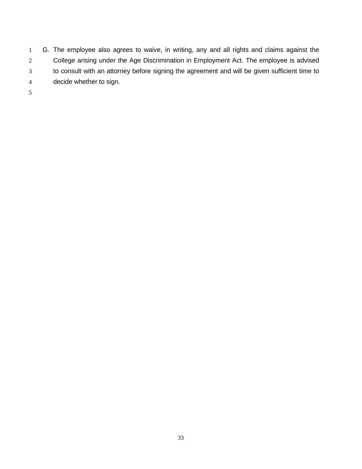- G. The employee also agrees to waive, in writing, any and all rights and claims against the College arising under the Age Discrimination in Employment Act. The employee is advised to consult with an attorney before signing the agreement and will be given sufficient time to decide whether to sign.
-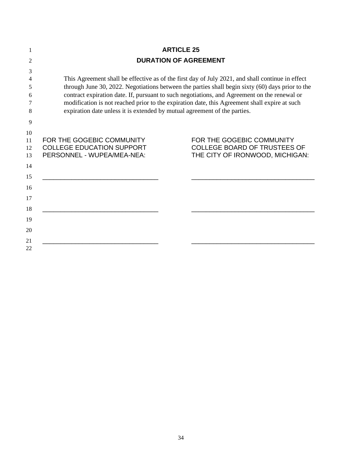| 1                    |                                                                                                                                                                            | <b>ARTICLE 25</b>                                                                                   |  |  |  |
|----------------------|----------------------------------------------------------------------------------------------------------------------------------------------------------------------------|-----------------------------------------------------------------------------------------------------|--|--|--|
| 2                    | <b>DURATION OF AGREEMENT</b>                                                                                                                                               |                                                                                                     |  |  |  |
| 3<br>4               |                                                                                                                                                                            | This Agreement shall be effective as of the first day of July 2021, and shall continue in effect    |  |  |  |
| 5                    | through June 30, 2022. Negotiations between the parties shall begin sixty (60) days prior to the                                                                           |                                                                                                     |  |  |  |
| 6                    | contract expiration date. If, pursuant to such negotiations, and Agreement on the renewal or                                                                               |                                                                                                     |  |  |  |
| 7<br>8               | modification is not reached prior to the expiration date, this Agreement shall expire at such<br>expiration date unless it is extended by mutual agreement of the parties. |                                                                                                     |  |  |  |
| 9                    |                                                                                                                                                                            |                                                                                                     |  |  |  |
| 10<br>11<br>12<br>13 | FOR THE GOGEBIC COMMUNITY<br><b>COLLEGE EDUCATION SUPPORT</b><br>PERSONNEL - WUPEA/MEA-NEA:                                                                                | FOR THE GOGEBIC COMMUNITY<br><b>COLLEGE BOARD OF TRUSTEES OF</b><br>THE CITY OF IRONWOOD, MICHIGAN: |  |  |  |
| 14<br>15             |                                                                                                                                                                            |                                                                                                     |  |  |  |
| 16                   |                                                                                                                                                                            |                                                                                                     |  |  |  |
| 17<br>18             |                                                                                                                                                                            |                                                                                                     |  |  |  |
| 19                   |                                                                                                                                                                            |                                                                                                     |  |  |  |
| 20<br>21             |                                                                                                                                                                            |                                                                                                     |  |  |  |
| 22                   |                                                                                                                                                                            |                                                                                                     |  |  |  |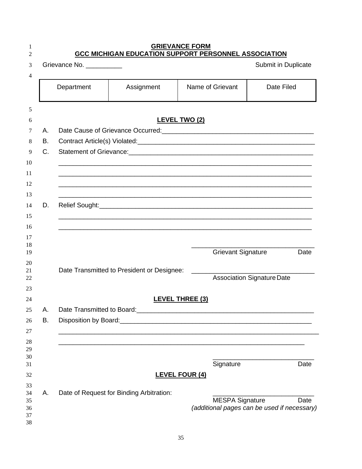| <b>GRIEVANCE FORM</b><br>1<br><b>GCC MICHIGAN EDUCATION SUPPORT PERSONNEL ASSOCIATION</b><br>2 |                          |                                            |                           |                                                     |  |
|------------------------------------------------------------------------------------------------|--------------------------|--------------------------------------------|---------------------------|-----------------------------------------------------|--|
|                                                                                                | Grievance No. __________ | Submit in Duplicate                        |                           |                                                     |  |
|                                                                                                | Department               | Assignment                                 | Name of Grievant          | Date Filed                                          |  |
|                                                                                                |                          |                                            | <b>LEVEL TWO (2)</b>      |                                                     |  |
| Α.                                                                                             |                          |                                            |                           |                                                     |  |
| В.                                                                                             |                          |                                            |                           |                                                     |  |
| C.                                                                                             |                          |                                            |                           |                                                     |  |
|                                                                                                |                          |                                            |                           |                                                     |  |
|                                                                                                |                          |                                            |                           |                                                     |  |
|                                                                                                |                          |                                            |                           |                                                     |  |
|                                                                                                |                          |                                            |                           |                                                     |  |
| D.                                                                                             |                          |                                            |                           |                                                     |  |
|                                                                                                |                          |                                            |                           |                                                     |  |
|                                                                                                |                          |                                            |                           |                                                     |  |
|                                                                                                |                          |                                            |                           |                                                     |  |
|                                                                                                |                          |                                            | <b>Grievant Signature</b> | Date                                                |  |
|                                                                                                |                          |                                            |                           |                                                     |  |
|                                                                                                |                          | Date Transmitted to President or Designee: |                           |                                                     |  |
|                                                                                                |                          |                                            |                           | <b>Association Signature Date</b>                   |  |
|                                                                                                |                          |                                            | <b>LEVEL THREE (3)</b>    |                                                     |  |
|                                                                                                |                          |                                            |                           |                                                     |  |
| Α.<br>B.                                                                                       |                          |                                            |                           |                                                     |  |
|                                                                                                |                          |                                            |                           |                                                     |  |
|                                                                                                |                          |                                            |                           |                                                     |  |
|                                                                                                |                          |                                            |                           |                                                     |  |
|                                                                                                |                          |                                            | Signature                 | Date                                                |  |
|                                                                                                |                          |                                            | <b>LEVEL FOUR (4)</b>     |                                                     |  |
|                                                                                                |                          |                                            |                           |                                                     |  |
| А.                                                                                             |                          | Date of Request for Binding Arbitration:   |                           |                                                     |  |
|                                                                                                |                          |                                            | <b>MESPA Signature</b>    | Date<br>(additional pages can be used if necessary) |  |
|                                                                                                |                          |                                            |                           |                                                     |  |
|                                                                                                |                          |                                            |                           |                                                     |  |